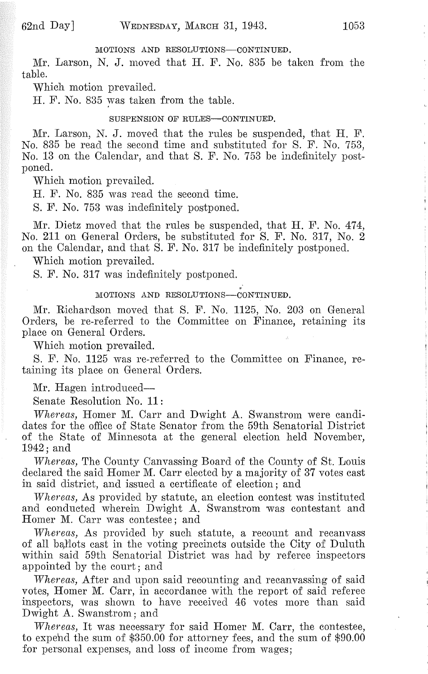#### MOTIONS AND RESOLUTIONS-CONTINUED.

 $Mr.$  Larson, N. J. moved that H. F. No. 835 be taken from the table.

Which motion prevailed.

H. F. No. 835 was taken from the table.

#### SUSPENSION OF RULES-CONTINUED.

Mr. Larson, N. J. moved that the rules be suspended, that H. F. No. 835 be read the second time and substituted for S. F. No. 753, No. 13 on the Calendar, and that S. F. No. 753 be indefinitely postponed.

Which motion prevailed.

H. F. No. 835 was read the second time.

S. F. No. 753 was indefinitely postponed.

Mr. Dietz moved that the rules be suspended, that H. F. No. 474, No. 211 on General Orders, be substituted for S. F. No. 317, No.2 on the Calendar, and that S. F. No. 317 be indefinitely postponed.

Which motion prevailed.

S. F. No. 317 was indefinitely postponed.

#### MOTIONS AND RESOLUTIONS-CONTINUED.

Mr. Richardson moved that S. F. No. 1125, No. 203 on General Orders, be re-referred to the Committee on Finance, retaining its place on General Orders.

Which motion prevailed.

S. F. No. 1125 was re-referred to the Committee on Finance, retaining its place on General Orders.

Mr. Hagen introduced-

Senate Resolution No. 11:

*Whereas,* Homer M:. Carr and Dwight A. Swanstrom were candidates for the office of State Senator from the 59th Senatorial District of the State of Minnesota at the general election held November, 1942; and

*-VVhereas,* The County Canvassing Board of the County of St. Louis declared the said Homer M. Carr elected by a majority of 37 votes cast in said district, and issued a certificate of election; and

*Whereas,* As provided by statute, an election contest was instituted and conducted wherein Dwight A. Swanstrom was contestant and Homer M. Carr was contestee; and

*lVhereas,* As provided by such statute, a recount and recanvass of all ballots cast in the voting precincts outside the City of Duluth within said 59th Senatorial District was had by referee inspectors appointed by the court; and

*Whereas,* After and upon said recounting and recanvassing of said votes, Homer M. Carr, in accordance with the report of said referee inspectors, was shown to have received 46 votes more than said Dwight A. Swanstrom; and

*Whereas,* It was necessary for said Homer M. Carr, the contestee, to expehd the sum of \$350.00 for attorney fees, and the sum of \$90.00 for personal expenses, and loss of income from wages;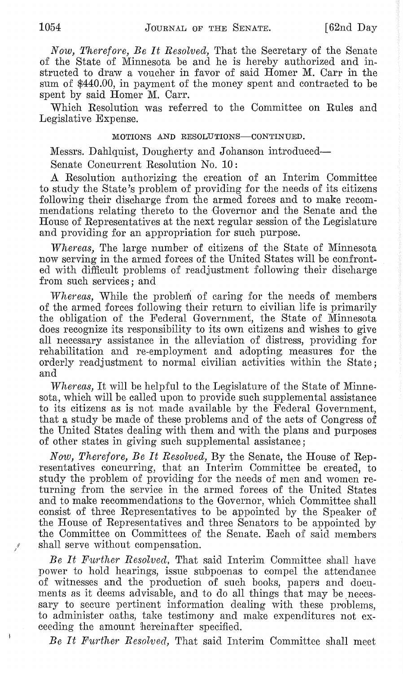*Now, Therefore, Be It Resolved,* That the Secretary of the Senate of the State of Minnesota he and he is hereby authorized and instructed to draw a voucher in favor of said Homer M. Carr in the sum of \$440.00, in payment of the money spent and contracted to be spent by said Homer M. Carr.

Which Resolution was referred to the Committee on Rules and Legislative Expense.

#### MOTIONS AND RESOLUTIONS-CONTINUED.

Messrs. Dahlquist, Dougherty and Johanson introduced-Senate Concurrent Resolution No. 10:

A. Resolution authorizing the creation of an Interim Committee to study the State's problem of providing for the needs of its citizens following their discharge from the armed forces and to make recommendations relating thereto to the Governor and the Senate and the House of Representatives at the next regular session of the Legislature and providing for an appropriation for such purpose.

*lVhereas,* The large number of citizens of the State of Minnesota now serving in the armed forces of the United States will he confronted with difficult problems of readjustment following their discharge from such services; and

*Whereas*, While the problem of caring for the needs of members of the armed forces following their return to civilian life is primarily the obligation of the Federal Government, the State of Minnesota does recognize its responsibility to its own citizens and wishes to give all necessary assistance in the alleviation of distress, providing for rehabilitation and re-employment and adopting measures for the orderly readjustment to normal civilian activities within the State; and

*lVhereas,* It will be helpful to the Legislature of the State of Minnesota, which will be called upon to provide such supplemental assistance to its citizens as is not made available by the Federal Government, that a study be made of these problems and of the acts of Congress of the United States dealing with them and with the plans and purposes of other states in giving such supplemental assistance;

*Now, Therefore, Be It Resolved,* By the Senate, the House of Representatives concurring, that an Interim Committee be created, to study the problem of providing for the needs of men and women returning from the service in the armed forces of the United States and to make recommendations to the Governor, which Committee shall consist of three Representatives to be appointed by the Speaker of the House of Representatives and three Senators to be appointed by the Committee on Committees of the Senate. Each of said members shall serve without compensation.

*Be It If·urther Resolved,* That said Interim Committee shall have power to hold hearings, issue suhpoenas to compel the attendance of witnesses and the production of such books, papers and documents as it deems advisable, and to do all things that may be necessary to secure pertinent information dealing with these problems, to administer oaths, take testimony and make expenditures not exceeding the amount hereinafter specified.

*Be It Further Resolved,* That said Interim Committee shall meet

 $\vec{J}$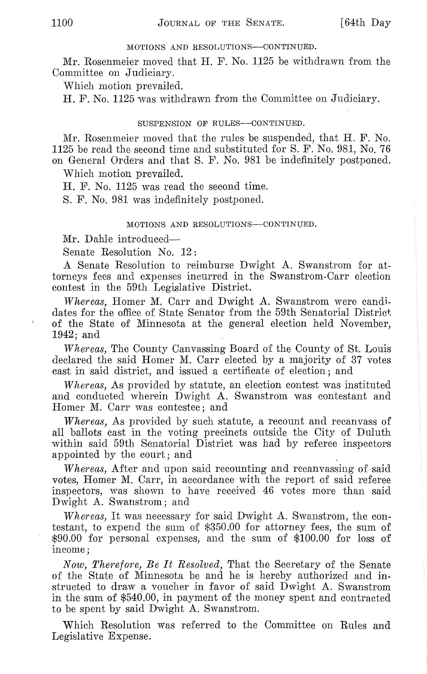#### MOTIONS AND RESOLUTIONS-CONTINUED.

 $Mr. Rosemmeier moved that H. F. No. 1125 be withdrawn from the$ Committee on Judiciary.

Which motion prevailed.

H. F. No. 1125 was withdrawn from the Committee on Judiciary.

#### SUSPENSION OF RULES--CONTINUED.

 $Mr. Rosemmeier moved that the rules be suspended, that  $H. F. No.$$ 1125 be read the second time and substituted for S. F. No. 981, No. 76 on General Orders and that S. F. No. 981 be indefinitely postponed.

Which motion prevailed.

H. F. No. 1125 was read the second time.

S. F. No. 981 was indefinitely postponed.

#### MOTIONS AND RESOLUTIONS-CONTINUED.

Mr. Dahle introduced-

Senate Resolution No. 12:

A Senate Resolution to reimburse Dwight A. Swanstrom for attorneys fees and expenses incurred in the Swanstrom-Carr election contest in the 59th Legislative District.

*Whereas, Homer M. Carr and Dwight A. Swanstrom were candi*dates for the office of State Senator from the 59th Senatorial District of the State of Minnesota at the general election held November, 1942; and

*Whereas,* The County Canvassing Board of the County of St. Louis declared the said Homer M. Carr elected by a majority of 37 votes cast in said district, and issued a certificate of election; and

*vVhereas,* As provided by statute, an election contest was instituted and conducted wherein Dwight A. Swanstrom was contestant and Homer M. Carr was contestee; and

*Whereas,* As provided by such statute, a recount and recanvass of all ballots cast in the voting precincts outside the City of Duluth within said 59th Senatorial District was had by referee inspectors appointed by the court; and

*vVhereas,* After and upon said recounting and recanvassing of said votes, Homer M. Carr, in accordance with the report of said referee inspectors, was shown to have received 46 votes more than said Dwight A. Swanstrom; and

*vVhereas,* It was necessary for said Dwight A. Swanstrom, the contestant, to expend the sum of \$350.00 for attorney fees, the sum of \$90.00 for personal expenses, and the sum of \$100.00 for loss of income;

*Now, Therefore, Be It Resolved, That the Secretary of the Senate* of the State of Minnesota be and he is hereby authorized and instructed to draw a voucher in favor of said Dwight A. Swanstrom in the sum of \$540.00, in payment of the money spent and contracted to be spent by said Dwight A. Swanstrom.

Which Resolution was referred to the Committee on Rules and Legislative Expense.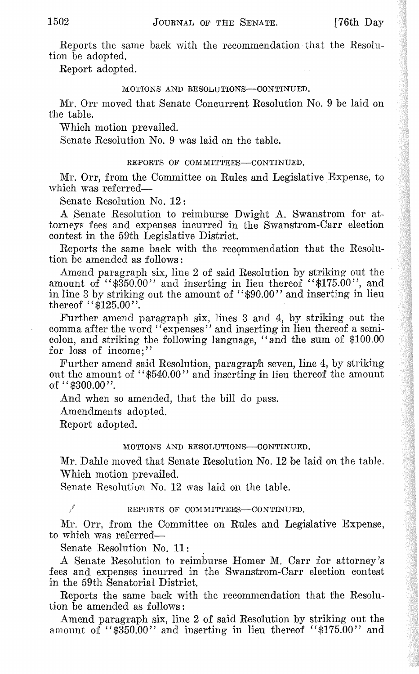Reports the same back with the recommendation that the Resolution be adopted.

Report adopted.

#### MOTIONS AND RESOLUTIONS-CONTINUED.

:Mr. Orr moved that Senate Concurrent Resolution No.9 be laid on the table.

Which motion prevailed.

Senate Resolution No. 9 was laid on the table.

#### REPORTS OF COMMITTEES-CONTINUED.

Mr. Orr, from the Committee on Rules and Legislative Expense, to which was referred-

Senate Resolution No. 12:

A Senate Resolution to reimburse Dwight A. Swanstrom for attorneys fees and expenses incurred in the Swanstrom-Carr election contest in the 59th Legislative District.

Reports the same back with the recommendation that the Resolution be amended as follows:

Amend paragraph six, line 2 of said Resolution by striking out the amount of " $\frac{350.00}{\text{ rad}}$  and inserting in lieu thereof " $\frac{175.00}{\text{ rad}}$ ", and in line 3 by striking out the amount of "\$90.00" and inserting in lieu thereof " $$125.00"$ .

Further amend paragraph six, lines 3 and 4, by striking out the comma after the word" expenses" and inserting in lieu thereof a semicolon, and striking the following language, "and the sum of \$100.00 for loss of income:"

Further amend said Resolution, paragraph seven, line 4, by striking out the amount of "\$540.00" and inserting in lieu thereof the amount of  $448300.00$ ".

And when so amended, that the bill do pass.

Amendments adopted.

Report adopted.

#### MOTIONS AND RESOLUTIONS-CONTINUED.

Mr. Dahle moved that Senate Resolution No. 12 be laid on the table. Which motion prevailed.

Senate Resolution No. 12 was laid on the table.

Ţ

#### REPORTS OF COMMITTEES-CONTINUED.

Mr. Orr, from the Committee on Rules and Legislative Expense, to which was referred-

Senate Resolution No. 11:

A Senate Resolution to reimburse Homer M. Carr for attorney's fees and expenses incurred in the Swanstrom-Carr election contest in the 59th Senatorial District.

Reports the same back with the recommendation that the Resolution be amended as follows:

Amend paragraph six, line 2 of said Resolution by striking out the amount of " $\frac{$(0,1)]}{0}$ " and inserting in lieu thereof " $\frac{$(1,1)]}{0}$ " and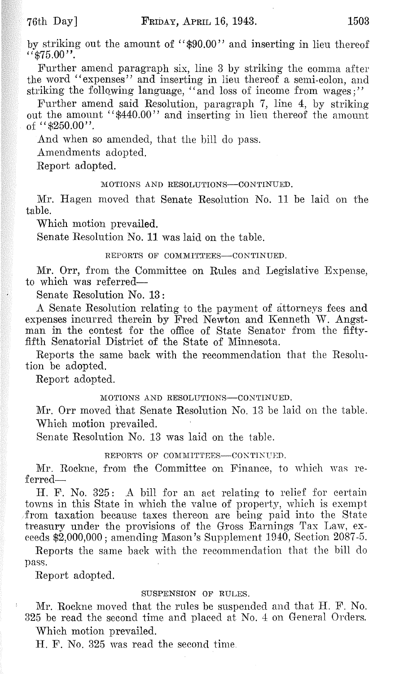Further amend paragraph six, line 3 by striking the comma after the word "expenses" and inserting in lieu thereof a semi-colon, and striking the following language, "and loss of income from wages;"

Further amend said Resolution, paragraph 7, line 4, by striking out the amount "\$440.00" and inserting in lieu thereof the amount of  $44850.00$ ".

And when so amended, that the bill do pass.

Amendments adopted.

Report adopted.

#### MOTIONS AND RESOLUTIONS-CONTINUED.

Mr. Hagen moved that Senate Resolution No. 11 be laid on the table.

Which motion prevailed.

Senate Resolution No. 11 was laid on the table.

#### REPORTS OF COMMITTEES-CONTINUED.

Mr. Orr, from the Committee on Rules and Legislative Expense, to which was referred-

Senate Resolution No. 13:

A Senate Resolution relating to the payment of attorneys fees and expenses incurred therein by Fred Newton and Kenneth W. Angstman in the contest for the office of State Senator from the fiftyfifth Senatorial District of the State of Minnesota.

Reports the same back with the recommendation that the Resolution be adopted.

Report adopted.

#### MOTIONS AND RESOLUTIONS-CONTINUED.

Mr. Orr moved that Senate Resolution No. 13 be laid on the table. Which motion prevailed.

Senate Resolution No. 13 was laid on the table.

#### REPORTS OF COMMITTEES-CONTINUED.

Mr. Rockne, from the Committee on Finance, to which was referred-

H. F. No. 325: A bill for an act relating to relief for certain towns in this State in which the value of property, which is exempt from taxation because taxes thereon are being paid into the State treasury under the provisions of the Gross Earnings Tax Law, exceeds \$2,000,000; amending Mason's Supplement 1940, Section 2087-5.

Reports the same back with the recommendation that the bill do pass.

Report adopted.

#### SUSPENSION OF RULES.

}\i[r. Rockne moved that the rules be suspended and that H. F. No. 325 be read the second time and placed at No.4 on General Orders. Which motion prevailed.

H. F. No. 325 was read the second time.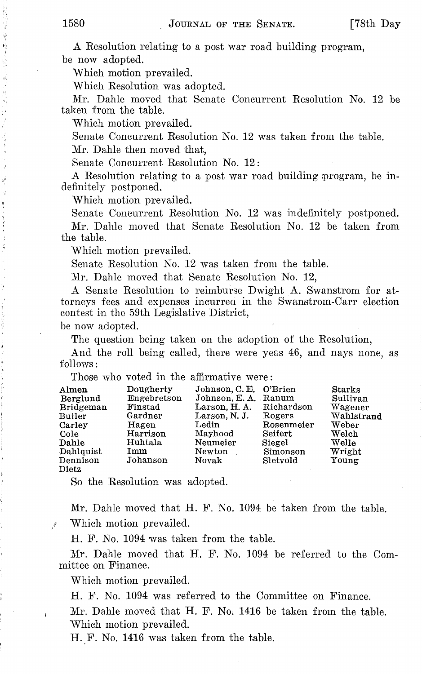A Resolution relating to a post war road building program, be now adopted.

Which motion prevailed.

Which Resolution was adopted.

Mr. Dahle moved that Senate Concurrent Resolution No. 12 be taken from the table.

Which motion prevailed.

Senate Concurrent Resolution No. 12 was taken from the table.

Mr. Dahle then moved that,

Senate Concurrent Resolution No. 12:

A Resolution relating to a post war road building program, be indefinitely postponed.

Which motion prevailed.

Senate Concurrent Resolution No. 12 was indefinitely postponed.

Mr. Dahle moved that Senate Resolution No. 12 be taken from the table.

Which motion prevailed.

Senate Resolution No. 12 was taken from the table.

Mr. Dahle moved that Senate Resolution No. 12,

A Senate Resolution to reimburse Dwight A. Swanstrom for attorneys fees and expenses incurrea in the Swanstrom-Carr election contest in thc 59th Legislative District,

be now adopted.

The question being taken on the adoption of the Resolution,

And the roll being called, there were yeas 46, and nays none, as follows:

Those who voted in the affirmative were:

| Almen<br>Berglund<br><b>Bridgeman</b><br>Butler<br>Carley<br>Cole<br>Dahle<br>Dahlquist<br>Dennison | Dougherty<br>Engebretson<br>Finstad<br>Gardner<br>Hagen<br>Harrison<br>Huhtala<br>Imm<br>Johanson | Johnson, C. E. O'Brien<br>Johnson, E. A. Ranum<br>Larson, H. A.<br>Larson, N.J.<br>$\rm_{\rm\scriptstyle Ledin}$<br>Mayhood<br>Neumeier<br>Newton<br>Novak | Richardson<br>Rogers<br>Rosenmeier<br>Seifert<br>Siegel<br>Simonson<br>Sletvold | <b>Starks</b><br>Sullivan<br>Wagener<br>Wahlstrand<br>Weber<br>Welch<br>Welle<br>Wright<br>Young |
|-----------------------------------------------------------------------------------------------------|---------------------------------------------------------------------------------------------------|------------------------------------------------------------------------------------------------------------------------------------------------------------|---------------------------------------------------------------------------------|--------------------------------------------------------------------------------------------------|
| Dietz                                                                                               |                                                                                                   |                                                                                                                                                            |                                                                                 |                                                                                                  |

So the Resolution was adopted.

Mr. Dahle moved that  $H$ . F. No. 1094 be taken from the table.

Which motion prevailed.

H. F. No. 1094 was taken from the table.

Mr. Dahle moved that H. F. No. 1094 be referred to the Committee on Finance.

Which motion prevailed.

H. F. No. 1094 was referred to the Committee on Finance.

Mr. Dahle moved that H. F. No. 1416 be taken from the table. Which motion prevailed.

H. F. No. 1416 was taken from the table.

经通货管理指令的货币 机乙酰溴 计语言语序序列 化对

化硬化硬化硬化 医牙间的 计可能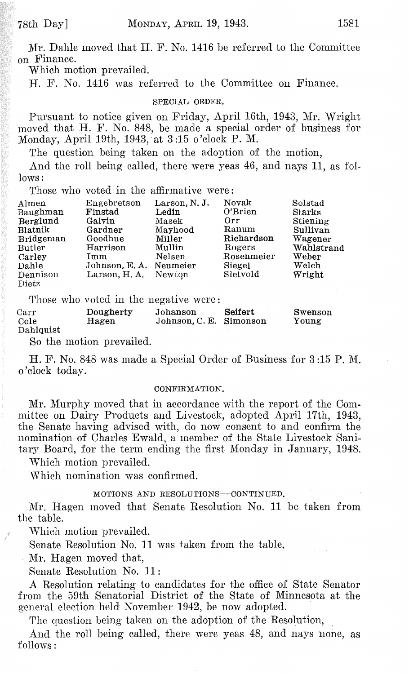$Mr.$  Dahle moved that  $H.$  F. No. 1416 be referred to the Committee on Finance.

Which motion prevailed.

H. F. No. 1416 was referred to the Committee on Finance.

#### SPECIAL ORDER.

Pursuant to notice given on Friday, April 16th, 1943, Mr. Wright moved that H. F. No. 848, be made a special order of business for Monday, April 19th, 1943, at  $3:15$  o'clock P. M.

The question being taken on the adoption of the motion,

And the roll being called, there were yeas 46, and nays 11, as follows:

Those who voted in the affirmative were:

| Almen     | Engebretson   | Larson, N.J. | Novak      | Solstad    |
|-----------|---------------|--------------|------------|------------|
| Baughman  | Finstad       | Ledin        | O'Brien    | Starks     |
| Berglund  | Galvin        | Masek        | Orr        | Stiening   |
| Blatnik   | Gardner       | Mayhood      | Ranum      | Sullivan   |
| Bridgeman | Goodhue       | Miller       | Richardson | Wagener    |
| Butler    | Harrison      | Mullin       | Rogers     | Wahlstrand |
| Carley    | Imm           | Nelsen       | Rosenmeier | Weber      |
| Dahle     | Johnson, E.A. | Neumeier     | Siegel     | Welch      |
| Dennison  | Larson, H. A. | Newton       | Sletvold   | Wright     |
| Dietz     |               |              |            |            |

Those who voted in the negative were:

| Carr      | Dougherty | Johanson                | Seifert | Swenson |
|-----------|-----------|-------------------------|---------|---------|
| Cole      | Hagen     | Johnson, C. E. Simonson |         | Young   |
| Dahlquist |           |                         |         |         |

So the motion prevailed.

H. F. No. 848 was made a Special Order of Business for 3 :15 P. M. o'clock today.

#### CONFIRMATION.

Mr. Murphy moved that in accordance with the report of the Committee on Dairy Products and Livestock, adopted April 17th, 1943, the Senate having advised with, do now consent to and confirm the nomination of Charles Ewald, a member of the State Livestock Sanitary Board, for the term ending the first Monday in January, 1948.

Which motion prevailed.

\Vhich nomination was confirmed.

#### MOTIONS AND RESOLUTIONS-CONTINUED.

:Mr. Hagen moved that Senate Resolution No. 11 be taken from the table.

\Vhich motion prevailed.

Senate Resolution No. 11 was taken from the table.

Mr. Hagen moved that,

Senate Resolution No. 11:

A Resolution relating to candidates for the office of State Senator from the 59th Senatorial District of the State of Minnesota at the general election held November 1942, be now adopted.

The question being taken on the adoption of the Resolution,

And the roll being called, there were yeas 48, and nays none, as follows: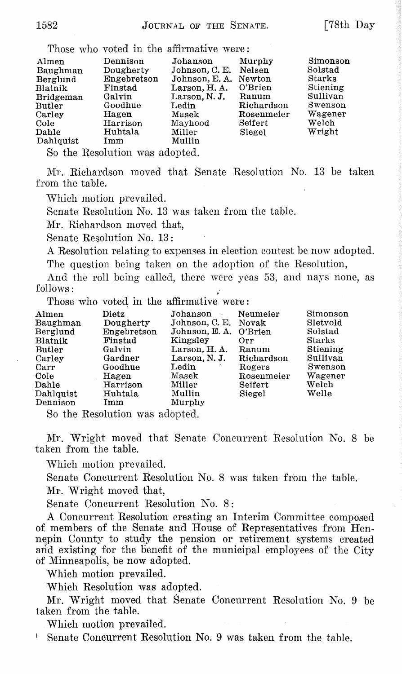|                  |                                | Those who voted in the affirmative were: |            |          |
|------------------|--------------------------------|------------------------------------------|------------|----------|
| Almen            | Dennison                       | Johanson                                 | Murphy     | Simonson |
| Baughman         | Dougherty                      | Johnson, C. E.                           | Nelsen     | Solstad  |
| Berglund         | Engebretson                    | Johnson, E. A.                           | Newton     | Starks   |
| Blatnik          | Finstad                        | Larson, H. A.                            | O'Brien    | Stiening |
| Bridgeman        | Galvin                         | Larson, N.J.                             | Ranum      | Sullivan |
| $_{\rm{Butler}}$ | Goodhue                        | Ledin                                    | Richardson | Swenson  |
| Carley           | Hagen                          | Masek                                    | Rosenmeier | Wagener  |
| Cole             | Harrison                       | Mayhood                                  | Seifert    | Welch    |
| Dahle            | Huhtala                        | Miller                                   | Siegel     | Wright   |
| Dahlquist        | Imm                            | Mullin                                   |            |          |
|                  | So the Resolution was adopted. |                                          |            |          |

:Mr. Richardson moved that Senate Resolution No. 13 be taken from the table.

\Vhich motion prevailed.

Senate Resolution No. 13 was taken from the table.

:Mr. Richardson moved that,

Senate Resolution No. 13:

A Resolution relating to expenses in election contest be now adopted. The question being taken on the adoption of the Resolution,

And the roll being called, there were yeas 53, and nays none, as  $follows:$ 

Those who voted in the affirmative were:

| $\mathbf{Almen}$ | Dietz       | Johanson<br>$\sim$ $\sim$ | Neumeier   | Simonson |
|------------------|-------------|---------------------------|------------|----------|
| Baughman         | Dougherty   | Johnson, C. E. Novak      |            | Sletvold |
| Berglund         | Engebretson | Johnson, E. A.            | O'Brien    | Solstad  |
| Blatnik          | Finstad     | Kingsley                  | Orr.       | Starks   |
| Butler           | Galvin      | Larson. H. A.             | Ranum      | Stiening |
| Carley           | Gardner     | Larson, N.J.              | Richardson | Sullivan |
| Carr             | Goodhue     | $_{\rm Ledin}$            | Rogers     | Swenson  |
| Cole             | Hagen       | Masek                     | Rosenmeier | Wagener  |
| Dahle            | Harrison    | Miller                    | Seifert    | Welch    |
| Dahlquist        | Huhtala     | Mullin                    | Siegel     | Welle    |
| Dennison         | Imm         | Murphy                    |            |          |
|                  |             |                           |            |          |

So the Resolution was adopted.

Mr. Wright moved that Senate Concurrent Resolution No. 8 be taken from the table.

\Vhich motion prevailed.

Senate Concurrent Resolution No. 8 was taken from the table. Mr. Wright moved that,

Senate Concurrent Resolution No. 8:

A Concurrent Resolution creating an Interim Committee composed of members of the Senate and House of Representatives from Hennepin County to study the pension or retirement systems created and existing for the benefit of the municipal employees of the City of Minneapolis, be now adopted.

Which motion prevailed.

Which Resolution was adopted.

Mr. Wright moved that Senate Concurrent Resolution No. 9 be taken from the table.

Which motion prevailed.

<sup>I</sup> Senate Concurrent Resolution No.9 was taken from the table.